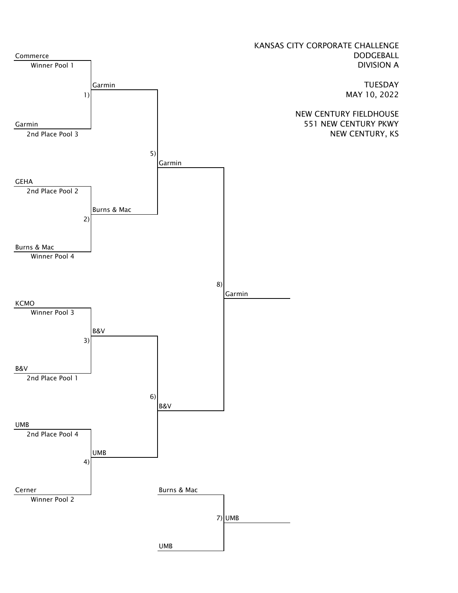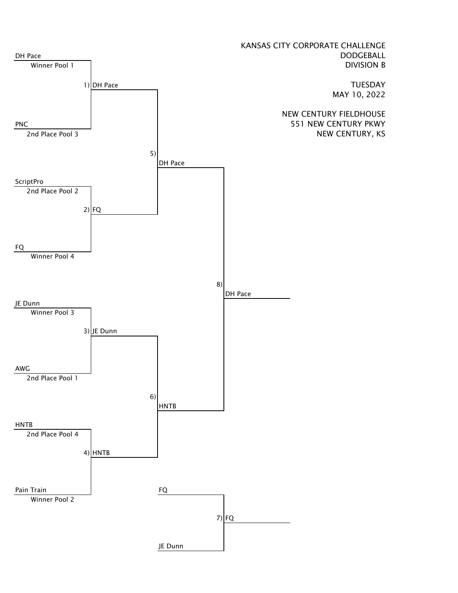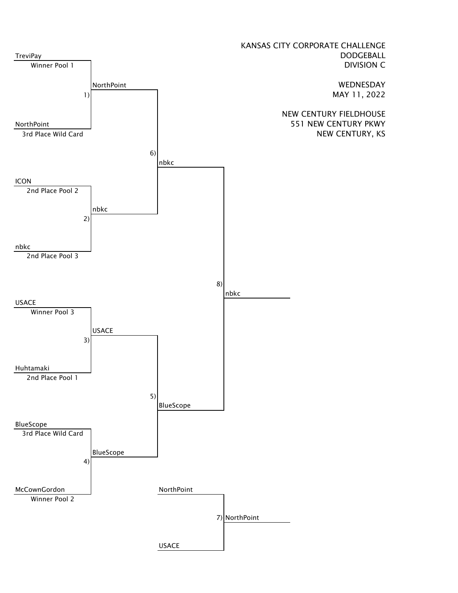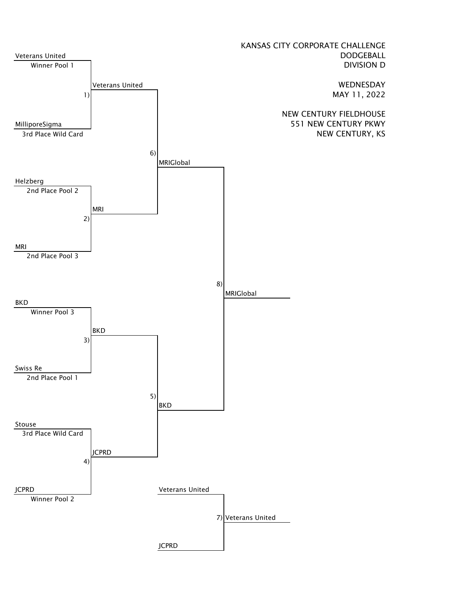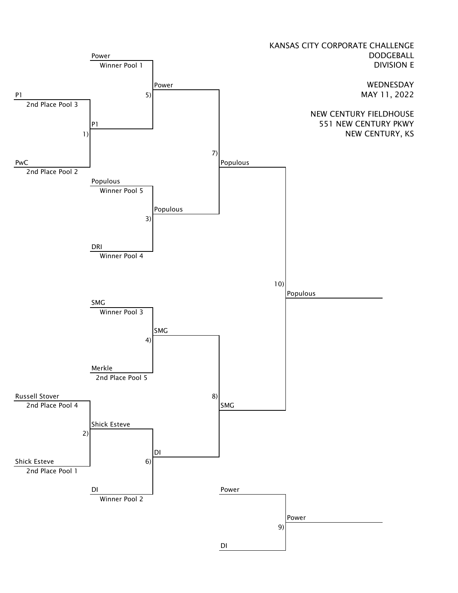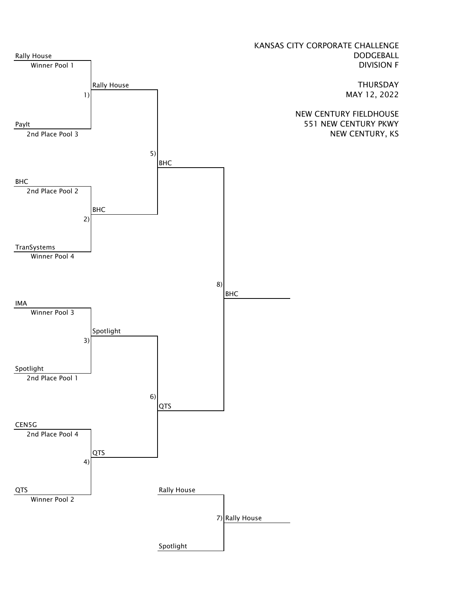